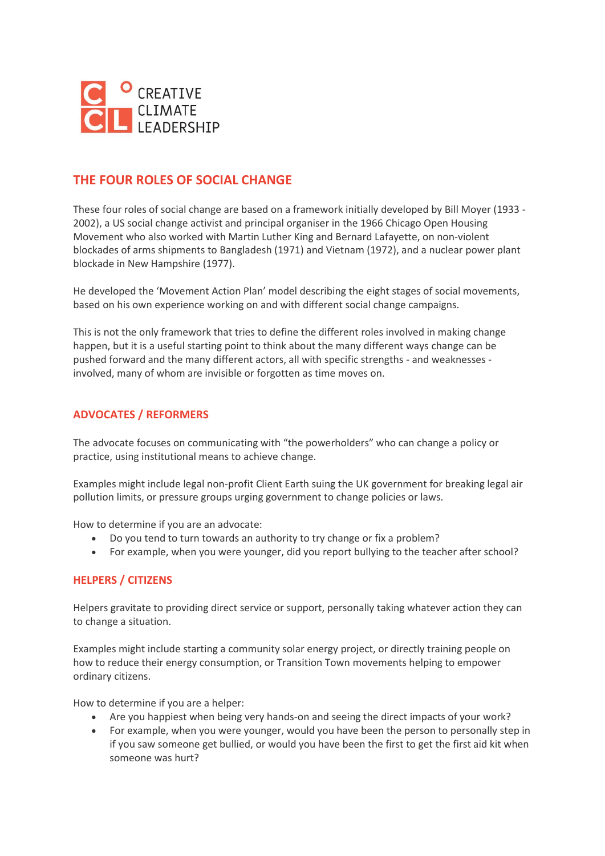

# **THE FOUR ROLES OF SOCIAL CHANGE**

These four roles of social change are based on a framework initially developed by Bill Moyer (1933 - 2002), a US social change activist and principal organiser in the 1966 Chicago Open Housing Movement who also worked with Martin Luther King and Bernard Lafayette, on non-violent blockades of arms shipments to Bangladesh (1971) and Vietnam (1972), and a nuclear power plant blockade in New Hampshire (1977).

He developed the 'Movement Action Plan' model describing the eight stages of social movements, based on his own experience working on and with different social change campaigns.

This is not the only framework that tries to define the different roles involved in making change happen, but it is a useful starting point to think about the many different ways change can be pushed forward and the many different actors, all with specific strengths - and weaknesses involved, many of whom are invisible or forgotten as time moves on.

### **ADVOCATES / REFORMERS**

The advocate focuses on communicating with "the powerholders" who can change a policy or practice, using institutional means to achieve change.

Examples might include legal non-profit Client Earth suing the UK government for breaking legal air pollution limits, or pressure groups urging government to change policies or laws.

How to determine if you are an advocate:

- Do you tend to turn towards an authority to try change or fix a problem?
- For example, when you were younger, did you report bullying to the teacher after school?

### **HELPERS / CITIZENS**

Helpers gravitate to providing direct service or support, personally taking whatever action they can to change a situation.

Examples might include starting a community solar energy project, or directly training people on how to reduce their energy consumption, or Transition Town movements helping to empower ordinary citizens.

How to determine if you are a helper:

- Are you happiest when being very hands-on and seeing the direct impacts of your work?
- For example, when you were younger, would you have been the person to personally step in if you saw someone get bullied, or would you have been the first to get the first aid kit when someone was hurt?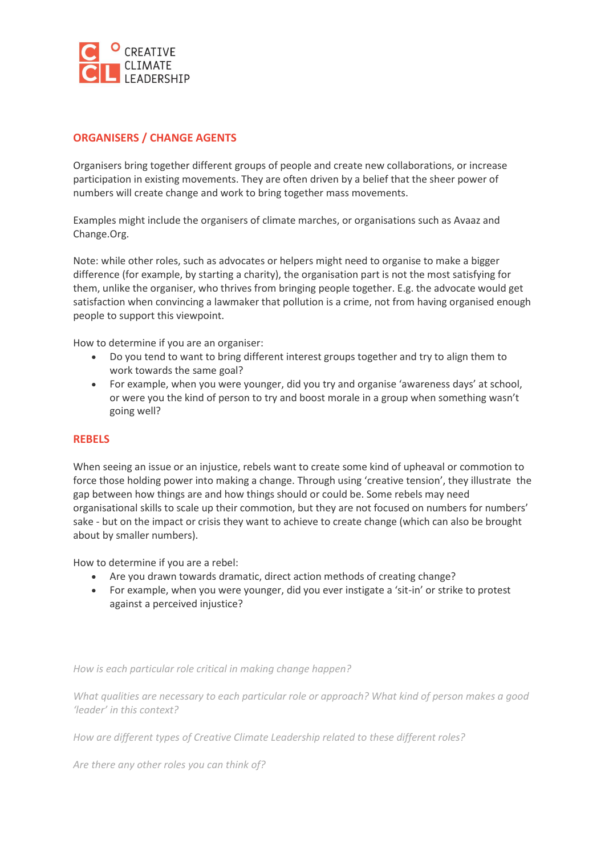

## **ORGANISERS / CHANGE AGENTS**

Organisers bring together different groups of people and create new collaborations, or increase participation in existing movements. They are often driven by a belief that the sheer power of numbers will create change and work to bring together mass movements.

Examples might include the organisers of climate marches, or organisations such as Avaaz and Change.Org.

Note: while other roles, such as advocates or helpers might need to organise to make a bigger difference (for example, by starting a charity), the organisation part is not the most satisfying for them, unlike the organiser, who thrives from bringing people together. E.g. the advocate would get satisfaction when convincing a lawmaker that pollution is a crime, not from having organised enough people to support this viewpoint.

How to determine if you are an organiser:

- Do you tend to want to bring different interest groups together and try to align them to work towards the same goal?
- For example, when you were younger, did you try and organise 'awareness days' at school, or were you the kind of person to try and boost morale in a group when something wasn't going well?

#### **REBELS**

When seeing an issue or an injustice, rebels want to create some kind of upheaval or commotion to force those holding power into making a change. Through using 'creative tension', they illustrate the gap between how things are and how things should or could be. Some rebels may need organisational skills to scale up their commotion, but they are not focused on numbers for numbers' sake - but on the impact or crisis they want to achieve to create change (which can also be brought about by smaller numbers).

How to determine if you are a rebel:

- Are you drawn towards dramatic, direct action methods of creating change?
- For example, when you were younger, did you ever instigate a 'sit-in' or strike to protest against a perceived injustice?

*How is each particular role critical in making change happen?* 

*What qualities are necessary to each particular role or approach? What kind of person makes a good 'leader' in this context?*

*How are different types of Creative Climate Leadership related to these different roles?* 

*Are there any other roles you can think of?*